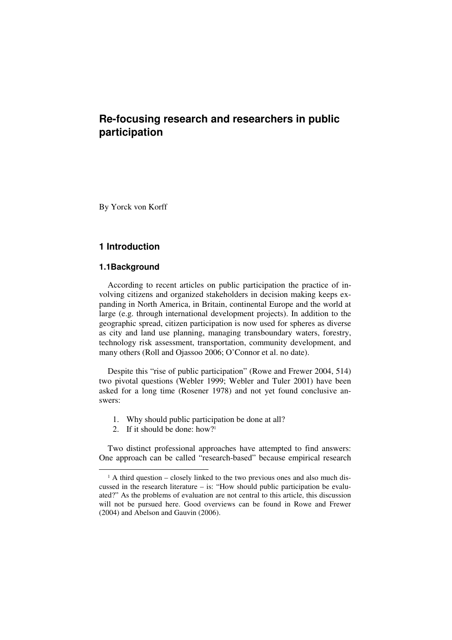# **Re-focusing research and researchers in public participation**

By Yorck von Korff

# **1 Introduction**

### **1.1Background**

 $\ddot{ }$ 

According to recent articles on public participation the practice of involving citizens and organized stakeholders in decision making keeps expanding in North America, in Britain, continental Europe and the world at large (e.g. through international development projects). In addition to the geographic spread, citizen participation is now used for spheres as diverse as city and land use planning, managing transboundary waters, forestry, technology risk assessment, transportation, community development, and many others (Roll and Ojassoo 2006; O'Connor et al. no date).

Despite this "rise of public participation" (Rowe and Frewer 2004, 514) two pivotal questions (Webler 1999; Webler and Tuler 2001) have been asked for a long time (Rosener 1978) and not yet found conclusive answers:

- 1. Why should public participation be done at all?
- 2. If it should be done: how?<sup>1</sup>

Two distinct professional approaches have attempted to find answers: One approach can be called "research-based" because empirical research

<sup>&</sup>lt;sup>1</sup> A third question – closely linked to the two previous ones and also much discussed in the research literature – is: "How should public participation be evaluated?" As the problems of evaluation are not central to this article, this discussion will not be pursued here. Good overviews can be found in Rowe and Frewer (2004) and Abelson and Gauvin (2006).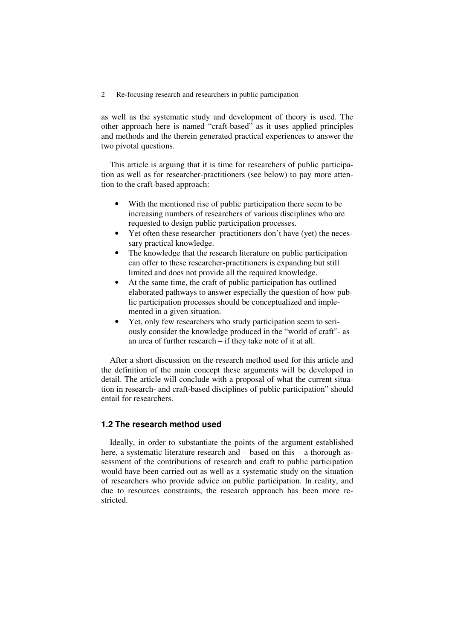as well as the systematic study and development of theory is used. The other approach here is named "craft-based" as it uses applied principles and methods and the therein generated practical experiences to answer the two pivotal questions.

This article is arguing that it is time for researchers of public participation as well as for researcher-practitioners (see below) to pay more attention to the craft-based approach:

- With the mentioned rise of public participation there seem to be increasing numbers of researchers of various disciplines who are requested to design public participation processes.
- Yet often these researcher–practitioners don't have (yet) the necessary practical knowledge.
- The knowledge that the research literature on public participation can offer to these researcher-practitioners is expanding but still limited and does not provide all the required knowledge.
- At the same time, the craft of public participation has outlined elaborated pathways to answer especially the question of how public participation processes should be conceptualized and implemented in a given situation.
- Yet, only few researchers who study participation seem to seriously consider the knowledge produced in the "world of craft"- as an area of further research – if they take note of it at all.

After a short discussion on the research method used for this article and the definition of the main concept these arguments will be developed in detail. The article will conclude with a proposal of what the current situation in research- and craft-based disciplines of public participation" should entail for researchers.

# **1.2 The research method used**

Ideally, in order to substantiate the points of the argument established here, a systematic literature research and – based on this – a thorough assessment of the contributions of research and craft to public participation would have been carried out as well as a systematic study on the situation of researchers who provide advice on public participation. In reality, and due to resources constraints, the research approach has been more restricted.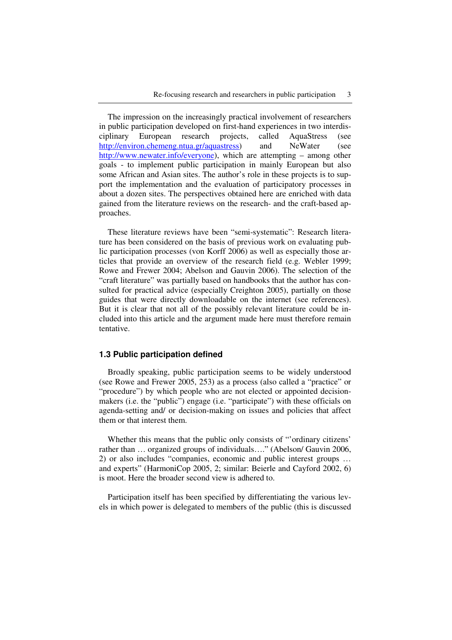The impression on the increasingly practical involvement of researchers in public participation developed on first-hand experiences in two interdisciplinary European research projects, called AquaStress (see http://environ.chemeng.ntua.gr/aquastress) and NeWater (see http://www.newater.info/everyone), which are attempting – among other goals - to implement public participation in mainly European but also some African and Asian sites. The author's role in these projects is to support the implementation and the evaluation of participatory processes in about a dozen sites. The perspectives obtained here are enriched with data gained from the literature reviews on the research- and the craft-based approaches.

These literature reviews have been "semi-systematic": Research literature has been considered on the basis of previous work on evaluating public participation processes (von Korff 2006) as well as especially those articles that provide an overview of the research field (e.g. Webler 1999; Rowe and Frewer 2004; Abelson and Gauvin 2006). The selection of the "craft literature" was partially based on handbooks that the author has consulted for practical advice (especially Creighton 2005), partially on those guides that were directly downloadable on the internet (see references). But it is clear that not all of the possibly relevant literature could be included into this article and the argument made here must therefore remain tentative.

# **1.3 Public participation defined**

Broadly speaking, public participation seems to be widely understood (see Rowe and Frewer 2005, 253) as a process (also called a "practice" or "procedure") by which people who are not elected or appointed decisionmakers (i.e. the "public") engage (i.e. "participate") with these officials on agenda-setting and/ or decision-making on issues and policies that affect them or that interest them.

Whether this means that the public only consists of "'ordinary citizens' rather than … organized groups of individuals…." (Abelson/ Gauvin 2006, 2) or also includes "companies, economic and public interest groups … and experts" (HarmoniCop 2005, 2; similar: Beierle and Cayford 2002, 6) is moot. Here the broader second view is adhered to.

Participation itself has been specified by differentiating the various levels in which power is delegated to members of the public (this is discussed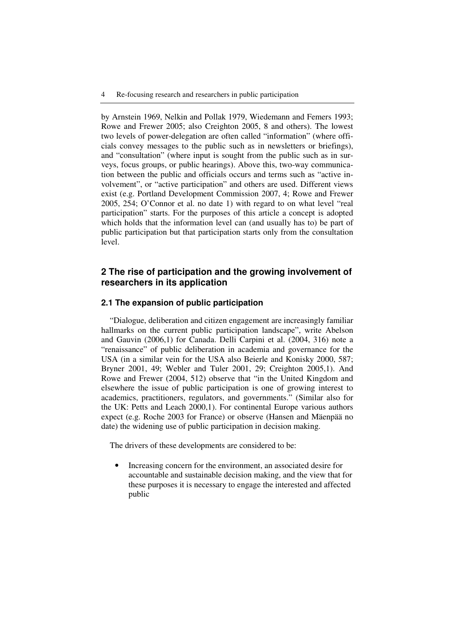by Arnstein 1969, Nelkin and Pollak 1979, Wiedemann and Femers 1993; Rowe and Frewer 2005; also Creighton 2005, 8 and others). The lowest two levels of power-delegation are often called "information" (where officials convey messages to the public such as in newsletters or briefings), and "consultation" (where input is sought from the public such as in surveys, focus groups, or public hearings). Above this, two-way communication between the public and officials occurs and terms such as "active involvement", or "active participation" and others are used. Different views exist (e.g. Portland Development Commission 2007, 4; Rowe and Frewer 2005, 254; O'Connor et al. no date 1) with regard to on what level "real participation" starts. For the purposes of this article a concept is adopted which holds that the information level can (and usually has to) be part of public participation but that participation starts only from the consultation level.

# **2 The rise of participation and the growing involvement of researchers in its application**

### **2.1 The expansion of public participation**

"Dialogue, deliberation and citizen engagement are increasingly familiar hallmarks on the current public participation landscape", write Abelson and Gauvin (2006,1) for Canada. Delli Carpini et al. (2004, 316) note a "renaissance" of public deliberation in academia and governance for the USA (in a similar vein for the USA also Beierle and Konisky 2000, 587; Bryner 2001, 49; Webler and Tuler 2001, 29; Creighton 2005,1). And Rowe and Frewer (2004, 512) observe that "in the United Kingdom and elsewhere the issue of public participation is one of growing interest to academics, practitioners, regulators, and governments." (Similar also for the UK: Petts and Leach 2000,1). For continental Europe various authors expect (e.g. Roche 2003 for France) or observe (Hansen and Mäenpää no date) the widening use of public participation in decision making.

The drivers of these developments are considered to be:

• Increasing concern for the environment, an associated desire for accountable and sustainable decision making, and the view that for these purposes it is necessary to engage the interested and affected public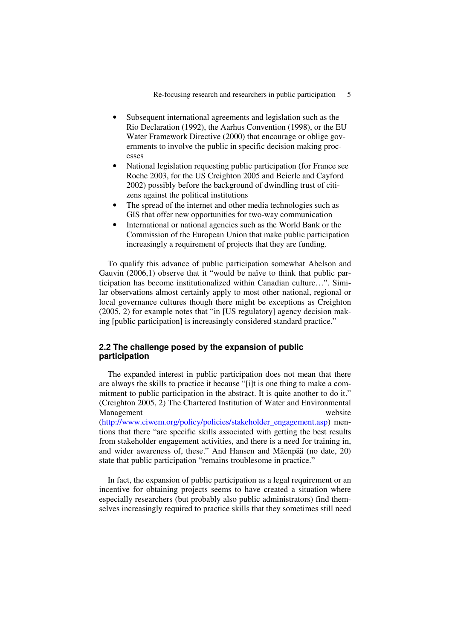- Subsequent international agreements and legislation such as the Rio Declaration (1992), the Aarhus Convention (1998), or the EU Water Framework Directive (2000) that encourage or oblige governments to involve the public in specific decision making processes
- National legislation requesting public participation (for France see Roche 2003, for the US Creighton 2005 and Beierle and Cayford 2002) possibly before the background of dwindling trust of citizens against the political institutions
- The spread of the internet and other media technologies such as GIS that offer new opportunities for two-way communication
- International or national agencies such as the World Bank or the Commission of the European Union that make public participation increasingly a requirement of projects that they are funding.

To qualify this advance of public participation somewhat Abelson and Gauvin (2006,1) observe that it "would be naïve to think that public participation has become institutionalized within Canadian culture…". Similar observations almost certainly apply to most other national, regional or local governance cultures though there might be exceptions as Creighton (2005, 2) for example notes that "in [US regulatory] agency decision making [public participation] is increasingly considered standard practice."

# **2.2 The challenge posed by the expansion of public participation**

The expanded interest in public participation does not mean that there are always the skills to practice it because "[i]t is one thing to make a commitment to public participation in the abstract. It is quite another to do it." (Creighton 2005, 2) The Chartered Institution of Water and Environmental Management website

(http://www.ciwem.org/policy/policies/stakeholder\_engagement.asp) mentions that there "are specific skills associated with getting the best results from stakeholder engagement activities, and there is a need for training in, and wider awareness of, these." And Hansen and Mäenpää (no date, 20) state that public participation "remains troublesome in practice."

In fact, the expansion of public participation as a legal requirement or an incentive for obtaining projects seems to have created a situation where especially researchers (but probably also public administrators) find themselves increasingly required to practice skills that they sometimes still need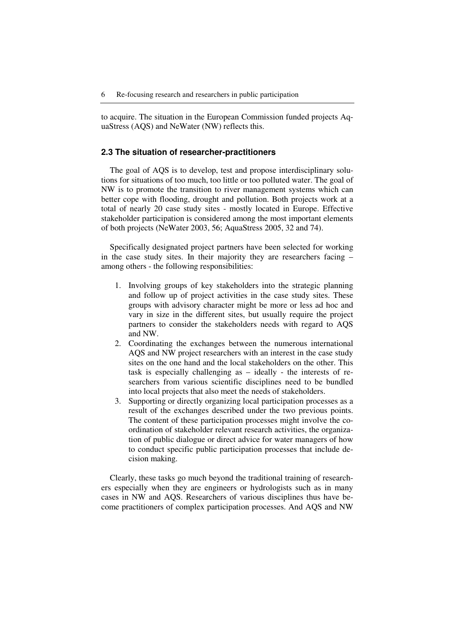to acquire. The situation in the European Commission funded projects AquaStress (AQS) and NeWater (NW) reflects this.

#### **2.3 The situation of researcher-practitioners**

The goal of AQS is to develop, test and propose interdisciplinary solutions for situations of too much, too little or too polluted water. The goal of NW is to promote the transition to river management systems which can better cope with flooding, drought and pollution. Both projects work at a total of nearly 20 case study sites - mostly located in Europe. Effective stakeholder participation is considered among the most important elements of both projects (NeWater 2003, 56; AquaStress 2005, 32 and 74).

Specifically designated project partners have been selected for working in the case study sites. In their majority they are researchers facing – among others - the following responsibilities:

- 1. Involving groups of key stakeholders into the strategic planning and follow up of project activities in the case study sites. These groups with advisory character might be more or less ad hoc and vary in size in the different sites, but usually require the project partners to consider the stakeholders needs with regard to AQS and NW.
- 2. Coordinating the exchanges between the numerous international AQS and NW project researchers with an interest in the case study sites on the one hand and the local stakeholders on the other. This task is especially challenging as – ideally - the interests of researchers from various scientific disciplines need to be bundled into local projects that also meet the needs of stakeholders.
- 3. Supporting or directly organizing local participation processes as a result of the exchanges described under the two previous points. The content of these participation processes might involve the coordination of stakeholder relevant research activities, the organization of public dialogue or direct advice for water managers of how to conduct specific public participation processes that include decision making.

Clearly, these tasks go much beyond the traditional training of researchers especially when they are engineers or hydrologists such as in many cases in NW and AQS. Researchers of various disciplines thus have become practitioners of complex participation processes. And AQS and NW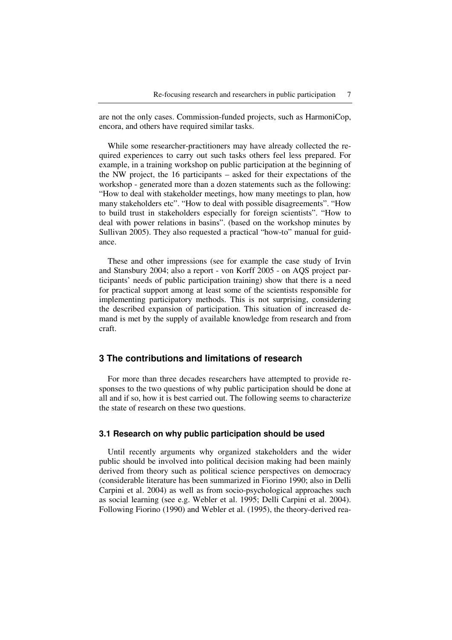are not the only cases. Commission-funded projects, such as HarmoniCop, encora, and others have required similar tasks.

While some researcher-practitioners may have already collected the required experiences to carry out such tasks others feel less prepared. For example, in a training workshop on public participation at the beginning of the NW project, the 16 participants – asked for their expectations of the workshop - generated more than a dozen statements such as the following: "How to deal with stakeholder meetings, how many meetings to plan, how many stakeholders etc". "How to deal with possible disagreements". "How to build trust in stakeholders especially for foreign scientists". "How to deal with power relations in basins". (based on the workshop minutes by Sullivan 2005). They also requested a practical "how-to" manual for guidance.

These and other impressions (see for example the case study of Irvin and Stansbury 2004; also a report - von Korff 2005 - on AQS project participants' needs of public participation training) show that there is a need for practical support among at least some of the scientists responsible for implementing participatory methods. This is not surprising, considering the described expansion of participation. This situation of increased demand is met by the supply of available knowledge from research and from craft.

# **3 The contributions and limitations of research**

For more than three decades researchers have attempted to provide responses to the two questions of why public participation should be done at all and if so, how it is best carried out. The following seems to characterize the state of research on these two questions.

## **3.1 Research on why public participation should be used**

Until recently arguments why organized stakeholders and the wider public should be involved into political decision making had been mainly derived from theory such as political science perspectives on democracy (considerable literature has been summarized in Fiorino 1990; also in Delli Carpini et al. 2004) as well as from socio-psychological approaches such as social learning (see e.g. Webler et al. 1995; Delli Carpini et al. 2004). Following Fiorino (1990) and Webler et al. (1995), the theory-derived rea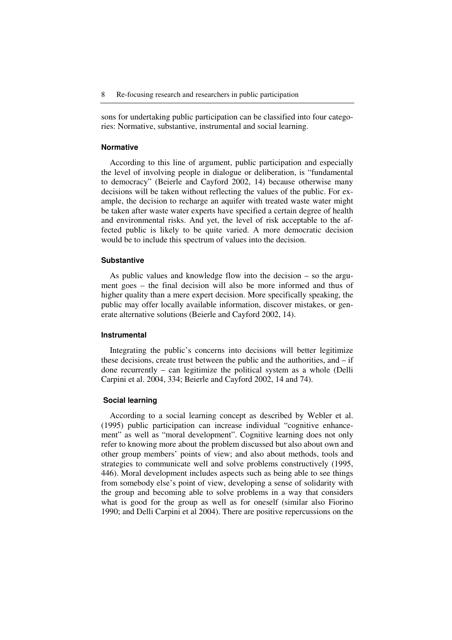sons for undertaking public participation can be classified into four categories: Normative, substantive, instrumental and social learning.

#### **Normative**

According to this line of argument, public participation and especially the level of involving people in dialogue or deliberation, is "fundamental to democracy" (Beierle and Cayford 2002, 14) because otherwise many decisions will be taken without reflecting the values of the public. For example, the decision to recharge an aquifer with treated waste water might be taken after waste water experts have specified a certain degree of health and environmental risks. And yet, the level of risk acceptable to the affected public is likely to be quite varied. A more democratic decision would be to include this spectrum of values into the decision.

#### **Substantive**

As public values and knowledge flow into the decision – so the argument goes – the final decision will also be more informed and thus of higher quality than a mere expert decision. More specifically speaking, the public may offer locally available information, discover mistakes, or generate alternative solutions (Beierle and Cayford 2002, 14).

#### **Instrumental**

Integrating the public's concerns into decisions will better legitimize these decisions, create trust between the public and the authorities, and – if done recurrently – can legitimize the political system as a whole (Delli Carpini et al. 2004, 334; Beierle and Cayford 2002, 14 and 74).

#### **Social learning**

According to a social learning concept as described by Webler et al. (1995) public participation can increase individual "cognitive enhancement" as well as "moral development". Cognitive learning does not only refer to knowing more about the problem discussed but also about own and other group members' points of view; and also about methods, tools and strategies to communicate well and solve problems constructively (1995, 446). Moral development includes aspects such as being able to see things from somebody else's point of view, developing a sense of solidarity with the group and becoming able to solve problems in a way that considers what is good for the group as well as for oneself (similar also Fiorino 1990; and Delli Carpini et al 2004). There are positive repercussions on the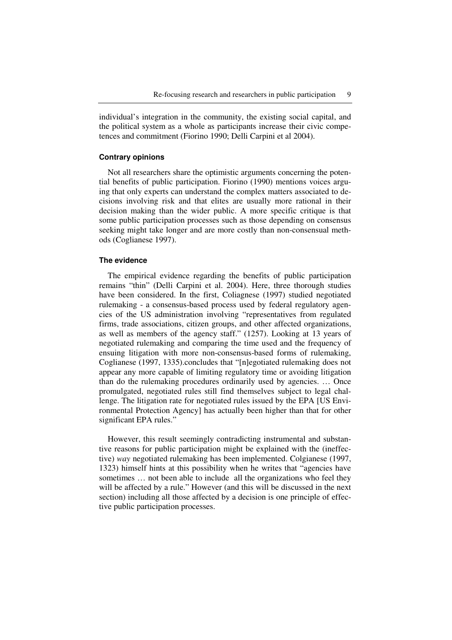individual's integration in the community, the existing social capital, and the political system as a whole as participants increase their civic competences and commitment (Fiorino 1990; Delli Carpini et al 2004).

### **Contrary opinions**

Not all researchers share the optimistic arguments concerning the potential benefits of public participation. Fiorino (1990) mentions voices arguing that only experts can understand the complex matters associated to decisions involving risk and that elites are usually more rational in their decision making than the wider public. A more specific critique is that some public participation processes such as those depending on consensus seeking might take longer and are more costly than non-consensual methods (Coglianese 1997).

#### **The evidence**

The empirical evidence regarding the benefits of public participation remains "thin" (Delli Carpini et al. 2004). Here, three thorough studies have been considered. In the first, Coliagnese (1997) studied negotiated rulemaking - a consensus-based process used by federal regulatory agencies of the US administration involving "representatives from regulated firms, trade associations, citizen groups, and other affected organizations, as well as members of the agency staff." (1257). Looking at 13 years of negotiated rulemaking and comparing the time used and the frequency of ensuing litigation with more non-consensus-based forms of rulemaking, Coglianese (1997, 1335).concludes that "[n]egotiated rulemaking does not appear any more capable of limiting regulatory time or avoiding litigation than do the rulemaking procedures ordinarily used by agencies. … Once promulgated, negotiated rules still find themselves subject to legal challenge. The litigation rate for negotiated rules issued by the EPA [US Environmental Protection Agency] has actually been higher than that for other significant EPA rules."

However, this result seemingly contradicting instrumental and substantive reasons for public participation might be explained with the (ineffective) *way* negotiated rulemaking has been implemented. Colgianese (1997, 1323) himself hints at this possibility when he writes that "agencies have sometimes … not been able to include all the organizations who feel they will be affected by a rule." However (and this will be discussed in the next section) including all those affected by a decision is one principle of effective public participation processes.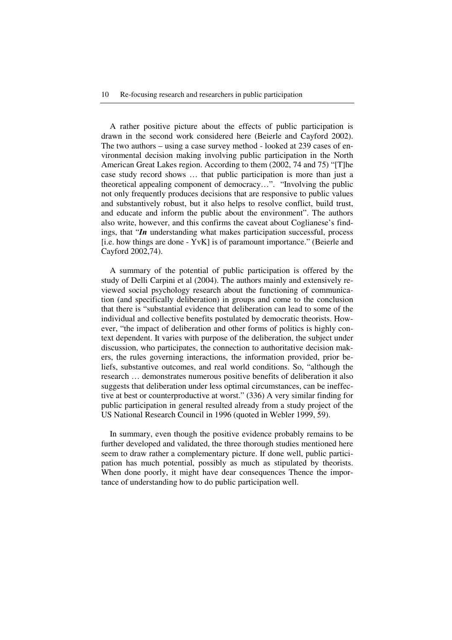A rather positive picture about the effects of public participation is drawn in the second work considered here (Beierle and Cayford 2002). The two authors – using a case survey method - looked at 239 cases of environmental decision making involving public participation in the North American Great Lakes region. According to them (2002, 74 and 75) "[T]he case study record shows … that public participation is more than just a theoretical appealing component of democracy…". "Involving the public not only frequently produces decisions that are responsive to public values and substantively robust, but it also helps to resolve conflict, build trust, and educate and inform the public about the environment". The authors also write, however, and this confirms the caveat about Coglianese's findings, that "*In* understanding what makes participation successful, process [i.e. how things are done - YvK] is of paramount importance." (Beierle and Cayford 2002,74).

A summary of the potential of public participation is offered by the study of Delli Carpini et al (2004). The authors mainly and extensively reviewed social psychology research about the functioning of communication (and specifically deliberation) in groups and come to the conclusion that there is "substantial evidence that deliberation can lead to some of the individual and collective benefits postulated by democratic theorists. However, "the impact of deliberation and other forms of politics is highly context dependent. It varies with purpose of the deliberation, the subject under discussion, who participates, the connection to authoritative decision makers, the rules governing interactions, the information provided, prior beliefs, substantive outcomes, and real world conditions. So, "although the research … demonstrates numerous positive benefits of deliberation it also suggests that deliberation under less optimal circumstances, can be ineffective at best or counterproductive at worst." (336) A very similar finding for public participation in general resulted already from a study project of the US National Research Council in 1996 (quoted in Webler 1999, 59).

In summary, even though the positive evidence probably remains to be further developed and validated, the three thorough studies mentioned here seem to draw rather a complementary picture. If done well, public participation has much potential, possibly as much as stipulated by theorists. When done poorly, it might have dear consequences Thence the importance of understanding how to do public participation well.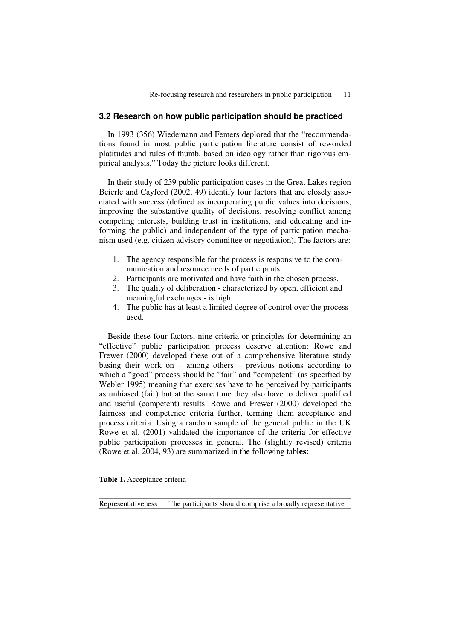# **3.2 Research on how public participation should be practiced**

In 1993 (356) Wiedemann and Femers deplored that the "recommendations found in most public participation literature consist of reworded platitudes and rules of thumb, based on ideology rather than rigorous empirical analysis." Today the picture looks different.

In their study of 239 public participation cases in the Great Lakes region Beierle and Cayford (2002, 49) identify four factors that are closely associated with success (defined as incorporating public values into decisions, improving the substantive quality of decisions, resolving conflict among competing interests, building trust in institutions, and educating and informing the public) and independent of the type of participation mechanism used (e.g. citizen advisory committee or negotiation). The factors are:

- 1. The agency responsible for the process is responsive to the communication and resource needs of participants.
- 2. Participants are motivated and have faith in the chosen process.
- 3. The quality of deliberation characterized by open, efficient and meaningful exchanges - is high.
- 4. The public has at least a limited degree of control over the process used.

Beside these four factors, nine criteria or principles for determining an "effective" public participation process deserve attention: Rowe and Frewer (2000) developed these out of a comprehensive literature study basing their work on – among others – previous notions according to which a "good" process should be "fair" and "competent" (as specified by Webler 1995) meaning that exercises have to be perceived by participants as unbiased (fair) but at the same time they also have to deliver qualified and useful (competent) results. Rowe and Frewer (2000) developed the fairness and competence criteria further, terming them acceptance and process criteria. Using a random sample of the general public in the UK Rowe et al. (2001) validated the importance of the criteria for effective public participation processes in general. The (slightly revised) criteria (Rowe et al. 2004, 93) are summarized in the following tab**les:** 

**Table 1.** Acceptance criteria

Representativeness The participants should comprise a broadly representative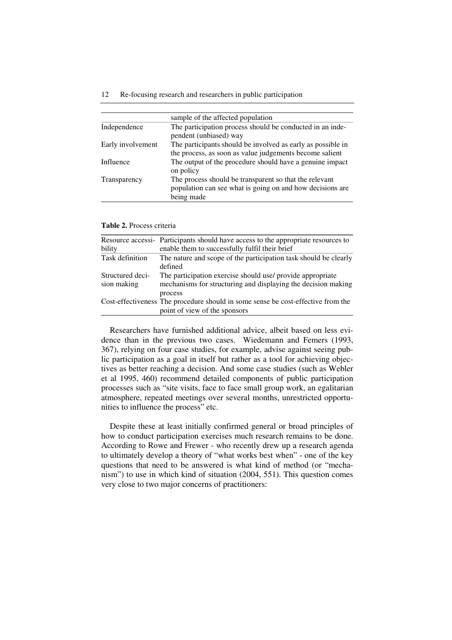#### 12 Re-focusing research and researchers in public participation

|                   | sample of the affected population                                                                                                 |
|-------------------|-----------------------------------------------------------------------------------------------------------------------------------|
| Independence      | The participation process should be conducted in an inde-<br>pendent (unbiased) way                                               |
| Early involvement | The participants should be involved as early as possible in<br>the process, as soon as value judgements become salient            |
| Influence         | The output of the procedure should have a genuine impact<br>on policy                                                             |
| Transparency      | The process should be transparent so that the relevant<br>population can see what is going on and how decisions are<br>being made |

**Table 2.** Process criteria

| bility                          | Resource accessi- Participants should have access to the appropriate resources to<br>enable them to successfully fulfil their brief    |
|---------------------------------|----------------------------------------------------------------------------------------------------------------------------------------|
| Task definition                 | The nature and scope of the participation task should be clearly<br>defined                                                            |
| Structured deci-<br>sion making | The participation exercise should use/ provide appropriate<br>mechanisms for structuring and displaying the decision making<br>process |
|                                 | Cost-effectiveness The procedure should in some sense be cost-effective from the<br>point of view of the sponsors                      |

Researchers have furnished additional advice, albeit based on less evidence than in the previous two cases. Wiedemann and Femers (1993, 367), relying on four case studies, for example, advise against seeing public participation as a goal in itself but rather as a tool for achieving objectives as better reaching a decision. And some case studies (such as Webler et al 1995, 460) recommend detailed components of public participation processes such as "site visits, face to face small group work, an egalitarian atmosphere, repeated meetings over several months, unrestricted opportunities to influence the process" etc.

Despite these at least initially confirmed general or broad principles of how to conduct participation exercises much research remains to be done. According to Rowe and Frewer - who recently drew up a research agenda to ultimately develop a theory of "what works best when" - one of the key questions that need to be answered is what kind of method (or "mechanism") to use in which kind of situation (2004, 551). This question comes very close to two major concerns of practitioners: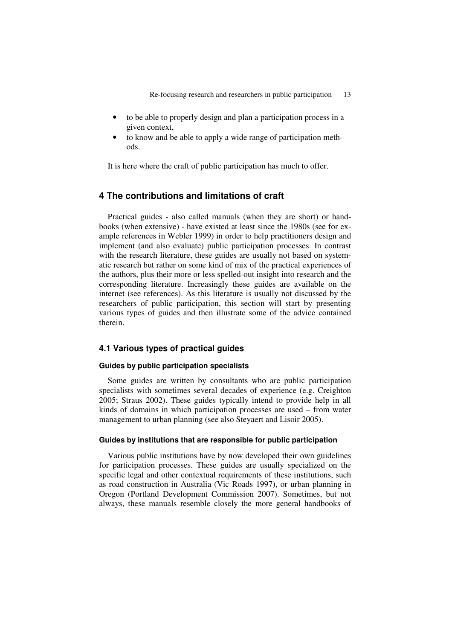- to be able to properly design and plan a participation process in a given context,
- to know and be able to apply a wide range of participation methods.

It is here where the craft of public participation has much to offer.

# **4 The contributions and limitations of craft**

Practical guides - also called manuals (when they are short) or handbooks (when extensive) - have existed at least since the 1980s (see for example references in Webler 1999) in order to help practitioners design and implement (and also evaluate) public participation processes. In contrast with the research literature, these guides are usually not based on systematic research but rather on some kind of mix of the practical experiences of the authors, plus their more or less spelled-out insight into research and the corresponding literature. Increasingly these guides are available on the internet (see references). As this literature is usually not discussed by the researchers of public participation, this section will start by presenting various types of guides and then illustrate some of the advice contained therein.

## **4.1 Various types of practical guides**

### **Guides by public participation specialists**

Some guides are written by consultants who are public participation specialists with sometimes several decades of experience (e.g. Creighton 2005; Straus 2002). These guides typically intend to provide help in all kinds of domains in which participation processes are used – from water management to urban planning (see also Steyaert and Lisoir 2005).

#### **Guides by institutions that are responsible for public participation**

Various public institutions have by now developed their own guidelines for participation processes. These guides are usually specialized on the specific legal and other contextual requirements of these institutions, such as road construction in Australia (Vic Roads 1997), or urban planning in Oregon (Portland Development Commission 2007). Sometimes, but not always, these manuals resemble closely the more general handbooks of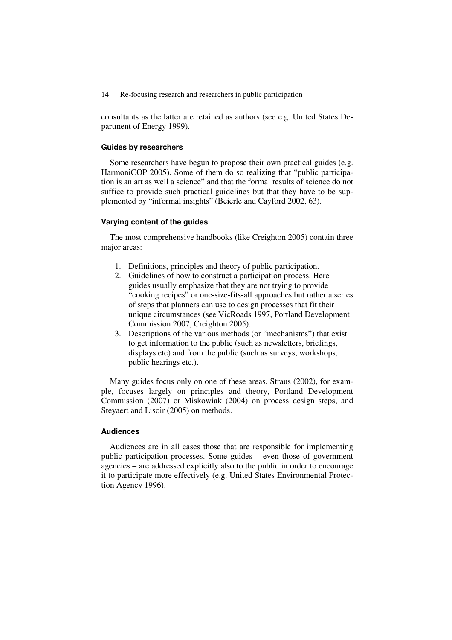consultants as the latter are retained as authors (see e.g. United States Department of Energy 1999).

#### **Guides by researchers**

Some researchers have begun to propose their own practical guides (e.g. HarmoniCOP 2005). Some of them do so realizing that "public participation is an art as well a science" and that the formal results of science do not suffice to provide such practical guidelines but that they have to be supplemented by "informal insights" (Beierle and Cayford 2002, 63).

### **Varying content of the guides**

The most comprehensive handbooks (like Creighton 2005) contain three major areas:

- 1. Definitions, principles and theory of public participation.
- 2. Guidelines of how to construct a participation process. Here guides usually emphasize that they are not trying to provide "cooking recipes" or one-size-fits-all approaches but rather a series of steps that planners can use to design processes that fit their unique circumstances (see VicRoads 1997, Portland Development Commission 2007, Creighton 2005).
- 3. Descriptions of the various methods (or "mechanisms") that exist to get information to the public (such as newsletters, briefings, displays etc) and from the public (such as surveys, workshops, public hearings etc.).

Many guides focus only on one of these areas. Straus (2002), for example, focuses largely on principles and theory, Portland Development Commission (2007) or Miskowiak (2004) on process design steps, and Steyaert and Lisoir (2005) on methods.

# **Audiences**

Audiences are in all cases those that are responsible for implementing public participation processes. Some guides – even those of government agencies – are addressed explicitly also to the public in order to encourage it to participate more effectively (e.g. United States Environmental Protection Agency 1996).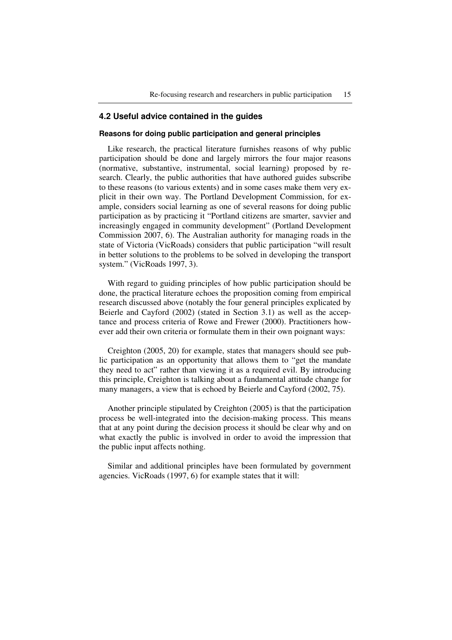### **4.2 Useful advice contained in the guides**

#### **Reasons for doing public participation and general principles**

Like research, the practical literature furnishes reasons of why public participation should be done and largely mirrors the four major reasons (normative, substantive, instrumental, social learning) proposed by research. Clearly, the public authorities that have authored guides subscribe to these reasons (to various extents) and in some cases make them very explicit in their own way. The Portland Development Commission, for example, considers social learning as one of several reasons for doing public participation as by practicing it "Portland citizens are smarter, savvier and increasingly engaged in community development" (Portland Development Commission 2007, 6). The Australian authority for managing roads in the state of Victoria (VicRoads) considers that public participation "will result in better solutions to the problems to be solved in developing the transport system." (VicRoads 1997, 3).

With regard to guiding principles of how public participation should be done, the practical literature echoes the proposition coming from empirical research discussed above (notably the four general principles explicated by Beierle and Cayford (2002) (stated in Section 3.1) as well as the acceptance and process criteria of Rowe and Frewer (2000). Practitioners however add their own criteria or formulate them in their own poignant ways:

Creighton (2005, 20) for example, states that managers should see public participation as an opportunity that allows them to "get the mandate they need to act" rather than viewing it as a required evil. By introducing this principle, Creighton is talking about a fundamental attitude change for many managers, a view that is echoed by Beierle and Cayford (2002, 75).

Another principle stipulated by Creighton (2005) is that the participation process be well-integrated into the decision-making process. This means that at any point during the decision process it should be clear why and on what exactly the public is involved in order to avoid the impression that the public input affects nothing.

Similar and additional principles have been formulated by government agencies. VicRoads (1997, 6) for example states that it will: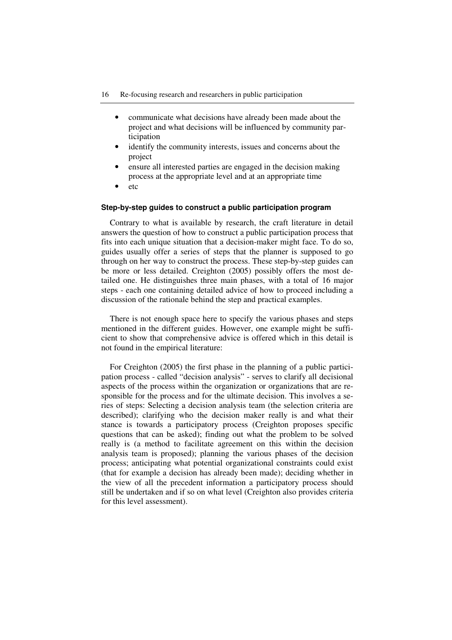- communicate what decisions have already been made about the project and what decisions will be influenced by community participation
- identify the community interests, issues and concerns about the project
- ensure all interested parties are engaged in the decision making process at the appropriate level and at an appropriate time
- etc

#### **Step-by-step guides to construct a public participation program**

Contrary to what is available by research, the craft literature in detail answers the question of how to construct a public participation process that fits into each unique situation that a decision-maker might face. To do so, guides usually offer a series of steps that the planner is supposed to go through on her way to construct the process. These step-by-step guides can be more or less detailed. Creighton (2005) possibly offers the most detailed one. He distinguishes three main phases, with a total of 16 major steps - each one containing detailed advice of how to proceed including a discussion of the rationale behind the step and practical examples.

There is not enough space here to specify the various phases and steps mentioned in the different guides. However, one example might be sufficient to show that comprehensive advice is offered which in this detail is not found in the empirical literature:

For Creighton (2005) the first phase in the planning of a public participation process - called "decision analysis" - serves to clarify all decisional aspects of the process within the organization or organizations that are responsible for the process and for the ultimate decision. This involves a series of steps: Selecting a decision analysis team (the selection criteria are described); clarifying who the decision maker really is and what their stance is towards a participatory process (Creighton proposes specific questions that can be asked); finding out what the problem to be solved really is (a method to facilitate agreement on this within the decision analysis team is proposed); planning the various phases of the decision process; anticipating what potential organizational constraints could exist (that for example a decision has already been made); deciding whether in the view of all the precedent information a participatory process should still be undertaken and if so on what level (Creighton also provides criteria for this level assessment).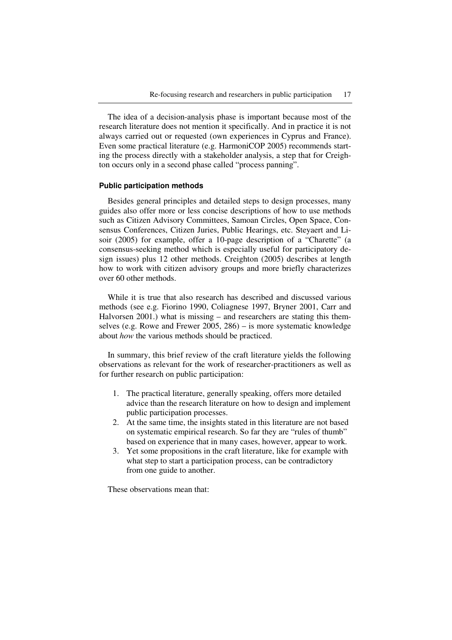The idea of a decision-analysis phase is important because most of the research literature does not mention it specifically. And in practice it is not always carried out or requested (own experiences in Cyprus and France). Even some practical literature (e.g. HarmoniCOP 2005) recommends starting the process directly with a stakeholder analysis, a step that for Creighton occurs only in a second phase called "process panning".

#### **Public participation methods**

Besides general principles and detailed steps to design processes, many guides also offer more or less concise descriptions of how to use methods such as Citizen Advisory Committees, Samoan Circles, Open Space, Consensus Conferences, Citizen Juries, Public Hearings, etc. Steyaert and Lisoir (2005) for example, offer a 10-page description of a "Charette" (a consensus-seeking method which is especially useful for participatory design issues) plus 12 other methods. Creighton (2005) describes at length how to work with citizen advisory groups and more briefly characterizes over 60 other methods.

While it is true that also research has described and discussed various methods (see e.g. Fiorino 1990, Coliagnese 1997, Bryner 2001, Carr and Halvorsen 2001.) what is missing – and researchers are stating this themselves (e.g. Rowe and Frewer 2005, 286) – is more systematic knowledge about *how* the various methods should be practiced.

In summary, this brief review of the craft literature yields the following observations as relevant for the work of researcher-practitioners as well as for further research on public participation:

- 1. The practical literature, generally speaking, offers more detailed advice than the research literature on how to design and implement public participation processes.
- 2. At the same time, the insights stated in this literature are not based on systematic empirical research. So far they are "rules of thumb" based on experience that in many cases, however, appear to work.
- 3. Yet some propositions in the craft literature, like for example with what step to start a participation process, can be contradictory from one guide to another.

These observations mean that: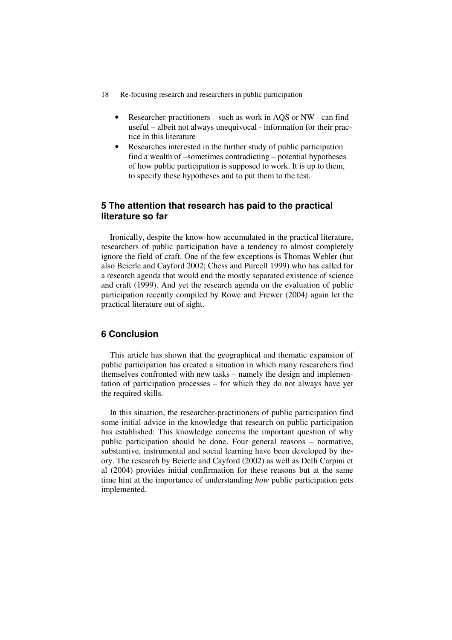- Researcher-practitioners such as work in AQS or NW can find useful – albeit not always unequivocal - information for their practice in this literature
- Researches interested in the further study of public participation find a wealth of –sometimes contradicting – potential hypotheses of how public participation is supposed to work. It is up to them, to specify these hypotheses and to put them to the test.

# **5 The attention that research has paid to the practical literature so far**

Ironically, despite the know-how accumulated in the practical literature, researchers of public participation have a tendency to almost completely ignore the field of craft. One of the few exceptions is Thomas Webler (but also Beierle and Cayford 2002; Chess and Purcell 1999) who has called for a research agenda that would end the mostly separated existence of science and craft (1999). And yet the research agenda on the evaluation of public participation recently compiled by Rowe and Frewer (2004) again let the practical literature out of sight.

# **6 Conclusion**

This article has shown that the geographical and thematic expansion of public participation has created a situation in which many researchers find themselves confronted with new tasks – namely the design and implementation of participation processes – for which they do not always have yet the required skills.

In this situation, the researcher-practitioners of public participation find some initial advice in the knowledge that research on public participation has established: This knowledge concerns the important question of why public participation should be done. Four general reasons – normative, substantive, instrumental and social learning have been developed by theory. The research by Beierle and Cayford (2002) as well as Delli Carpini et al (2004) provides initial confirmation for these reasons but at the same time hint at the importance of understanding *how* public participation gets implemented.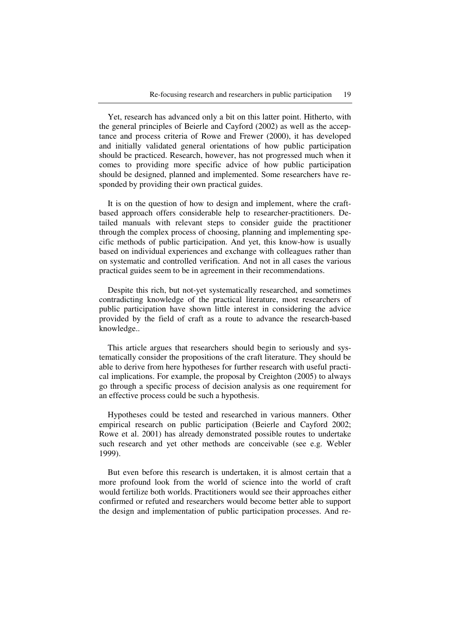Yet, research has advanced only a bit on this latter point. Hitherto, with the general principles of Beierle and Cayford (2002) as well as the acceptance and process criteria of Rowe and Frewer (2000), it has developed and initially validated general orientations of how public participation should be practiced. Research, however, has not progressed much when it comes to providing more specific advice of how public participation should be designed, planned and implemented. Some researchers have responded by providing their own practical guides.

It is on the question of how to design and implement, where the craftbased approach offers considerable help to researcher-practitioners. Detailed manuals with relevant steps to consider guide the practitioner through the complex process of choosing, planning and implementing specific methods of public participation. And yet, this know-how is usually based on individual experiences and exchange with colleagues rather than on systematic and controlled verification. And not in all cases the various practical guides seem to be in agreement in their recommendations.

Despite this rich, but not-yet systematically researched, and sometimes contradicting knowledge of the practical literature, most researchers of public participation have shown little interest in considering the advice provided by the field of craft as a route to advance the research-based knowledge..

This article argues that researchers should begin to seriously and systematically consider the propositions of the craft literature. They should be able to derive from here hypotheses for further research with useful practical implications. For example, the proposal by Creighton (2005) to always go through a specific process of decision analysis as one requirement for an effective process could be such a hypothesis.

Hypotheses could be tested and researched in various manners. Other empirical research on public participation (Beierle and Cayford 2002; Rowe et al. 2001) has already demonstrated possible routes to undertake such research and yet other methods are conceivable (see e.g. Webler 1999).

But even before this research is undertaken, it is almost certain that a more profound look from the world of science into the world of craft would fertilize both worlds. Practitioners would see their approaches either confirmed or refuted and researchers would become better able to support the design and implementation of public participation processes. And re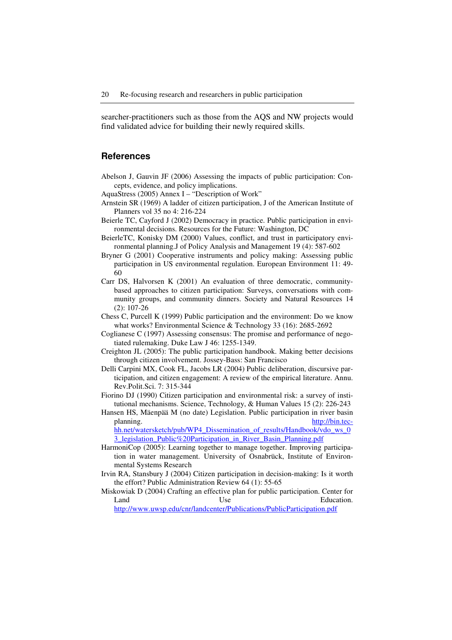searcher-practitioners such as those from the AQS and NW projects would find validated advice for building their newly required skills.

# **References**

- Abelson J, Gauvin JF (2006) Assessing the impacts of public participation: Concepts, evidence, and policy implications.
- AquaStress (2005) Annex I "Description of Work"
- Arnstein SR (1969) A ladder of citizen participation, J of the American Institute of Planners vol 35 no 4: 216-224
- Beierle TC, Cayford J (2002) Democracy in practice. Public participation in environmental decisions. Resources for the Future: Washington, DC
- BeierleTC, Konisky DM (2000) Values, conflict, and trust in participatory environmental planning.J of Policy Analysis and Management 19 (4): 587-602
- Bryner G (2001) Cooperative instruments and policy making: Assessing public participation in US environmental regulation. European Environment 11: 49- 60
- Carr DS, Halvorsen K (2001) An evaluation of three democratic, communitybased approaches to citizen participation: Surveys, conversations with community groups, and community dinners. Society and Natural Resources 14 (2): 107-26
- Chess C, Purcell K (1999) Public participation and the environment: Do we know what works? Environmental Science & Technology 33 (16): 2685-2692
- Coglianese C (1997) Assessing consensus: The promise and performance of negotiated rulemaking. Duke Law J 46: 1255-1349.
- Creighton JL (2005): The public participation handbook. Making better decisions through citizen involvement. Jossey-Bass: San Francisco
- Delli Carpini MX, Cook FL, Jacobs LR (2004) Public deliberation, discursive participation, and citizen engagement: A review of the empirical literature. Annu. Rev.Polit.Sci. 7: 315-344
- Fiorino DJ (1990) Citizen participation and environmental risk: a survey of institutional mechanisms. Science, Technology, & Human Values 15 (2): 226-243
- Hansen HS, Mäenpää M (no date) Legislation. Public participation in river basin planning. http://bin.techh.net/watersketch/pub/WP4\_Dissemination\_of\_results/Handbook/vdo\_ws\_0

3 legislation Public%20Participation in River Basin Planning.pdf

- HarmoniCop (2005): Learning together to manage together. Improving participation in water management. University of Osnabrück, Institute of Environmental Systems Research
- Irvin RA, Stansbury J (2004) Citizen participation in decision-making: Is it worth the effort? Public Administration Review 64 (1): 55-65
- Miskowiak D (2004) Crafting an effective plan for public participation. Center for Land Use Use Education. http://www.uwsp.edu/cnr/landcenter/Publications/PublicParticipation.pdf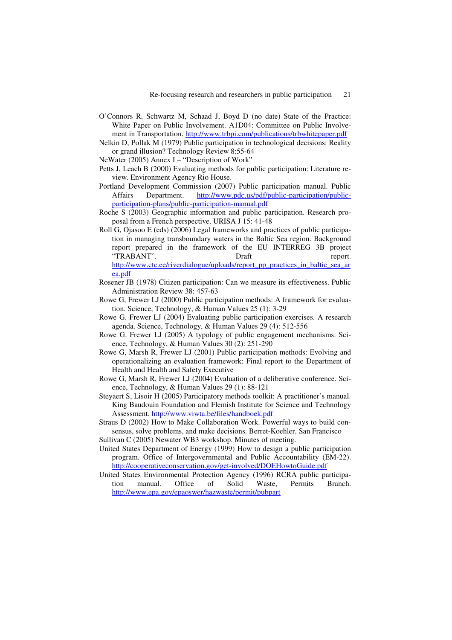- O'Connors R, Schwartz M, Schaad J, Boyd D (no date) State of the Practice: White Paper on Public Involvement. A1D04: Committee on Public Involvement in Transportation. http://www.trbpi.com/publications/trbwhitepaper.pdf
- Nelkin D, Pollak M (1979) Public participation in technological decisions: Reality or grand illusion? Technology Review 8:55-64

NeWater (2005) Annex I – "Description of Work"

- Petts J, Leach B (2000) Evaluating methods for public participation: Literature review. Environment Agency Rio House.
- Portland Development Commission (2007) Public participation manual. Public Affairs Department. http://www.pdc.us/pdf/public-participation/publicparticipation-plans/public-participation-manual.pdf
- Roche S (2003) Geographic information and public participation. Research proposal from a French perspective. URISA J 15: 41-48
- Roll G, Ojasoo E (eds) (2006) Legal frameworks and practices of public participation in managing transboundary waters in the Baltic Sea region. Background report prepared in the framework of the EU INTERREG 3B project "TRABANT". Draft preport. http://www.ctc.ee/riverdialogue/uploads/report\_pp\_practices\_in\_baltic\_sea\_ar ea.pdf
- Rosener JB (1978) Citizen participation: Can we measure its effectiveness. Public Administration Review 38: 457-63
- Rowe G, Frewer LJ (2000) Public participation methods: A framework for evaluation. Science, Technology, & Human Values 25 (1): 3-29
- Rowe G. Frewer LJ (2004) Evaluating public participation exercises. A research agenda. Science, Technology, & Human Values 29 (4): 512-556
- Rowe G. Frewer LJ (2005) A typology of public engagement mechanisms. Science, Technology, & Human Values 30 (2): 251-290
- Rowe G, Marsh R, Frewer LJ (2001) Public participation methods: Evolving and operationalizing an evaluation framework: Final report to the Department of Health and Health and Safety Executive
- Rowe G, Marsh R, Frewer LJ (2004) Evaluation of a deliberative conference. Science, Technology, & Human Values 29 (1): 88-121
- Steyaert S, Lisoir H (2005) Participatory methods toolkit: A practitioner's manual. King Baudouin Foundation and Flemish Institute for Science and Technology Assessment. http://www.viwta.be/files/handboek.pdf
- Straus D (2002) How to Make Collaboration Work. Powerful ways to build consensus, solve problems, and make decisions. Berret-Koehler, San Francisco
- Sullivan C (2005) Newater WB3 workshop. Minutes of meeting.
- United States Department of Energy (1999) How to design a public participation program. Office of Intergovernmental and Public Accountability (EM-22). http://cooperativeconservation.gov/get-involved/DOEHowtoGuide.pdf
- United States Environmental Protection Agency (1996) RCRA public participation manual. Office of Solid Waste, Permits Branch. http://www.epa.gov/epaoswer/hazwaste/permit/pubpart